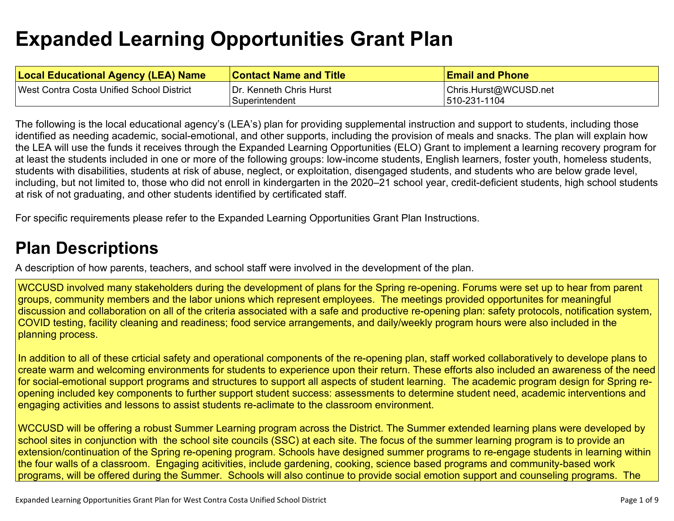# **Expanded Learning [Opportunities](#page-5-0) Grant Plan**

| <b>Local Educational Agency (LEA) Name</b> | <b>Contact Name and Title</b>             | <b>Email and Phone</b>                |
|--------------------------------------------|-------------------------------------------|---------------------------------------|
| West Contra Costa Unified School District  | Dr. Kenneth Chris Hurst<br>Superintendent | Chris.Hurst@WCUSD.net<br>510-231-1104 |

The following is the local educational agency's (LEA's) plan for providing supplemental instruction and support to students, including those identified as needing academic, social-emotional, and other supports, including the provision of meals and snacks. The plan will explain how the LEA will use the funds it receives through the Expanded Learning Opportunities (ELO) Grant to implement a learning recovery program for at least the students included in one or more of the following groups: low-income students, English learners, foster youth, homeless students, students with disabilities, students at risk of abuse, neglect, or exploitation, disengaged students, and students who are below grade level, including, but not limited to, those who did not enroll in kindergarten in the 2020–21 school year, credit-deficient students, high school students at risk of not graduating, and other students identified by certificated staff.

For specific requirements please refer to the Expanded Learning Opportunities Grant Plan Instructions.

### **Plan [Descriptions](#page-7-0)**

A description of how parents, teachers, and school staff were involved in the [development](#page-7-1) of the plan.

WCCUSD involved many stakeholders during the development of plans for the Spring re-opening. Forums were set up to hear from parent groups, community members and the labor unions which represent employees. The meetings provided opportunites for meaningful discussion and collaboration on all of the criteria associated with a safe and productive re-opening plan: safety protocols, notification system, COVID testing, facility cleaning and readiness; food service arrangements, and daily/weekly program hours were also included in the planning process.

In addition to all of these crticial safety and operational components of the re-opening plan, staff worked collaboratively to develope plans to create warm and welcoming environments for students to experience upon their return. These efforts also included an awareness of the need for social-emotional support programs and structures to support all aspects of student learning. The academic program design for Spring reopening included key components to further support student success: assessments to determine student need, academic interventions and engaging activities and lessons to assist students re-aclimate to the classroom environment.

WCCUSD will be offering a robust Summer Learning program across the District. The Summer extended learning plans were developed by school sites in conjunction with the school site councils (SSC) at each site. The focus of the summer learning program is to provide an extension/continuation of the Spring re-opening program. Schools have designed summer programs to re-engage students in learning within the four walls of a classroom. Engaging acitivities, include gardening, cooking, science based programs and community-based work programs, will be offered during the Summer. Schools will also continue to provide social emotion support and counseling programs. The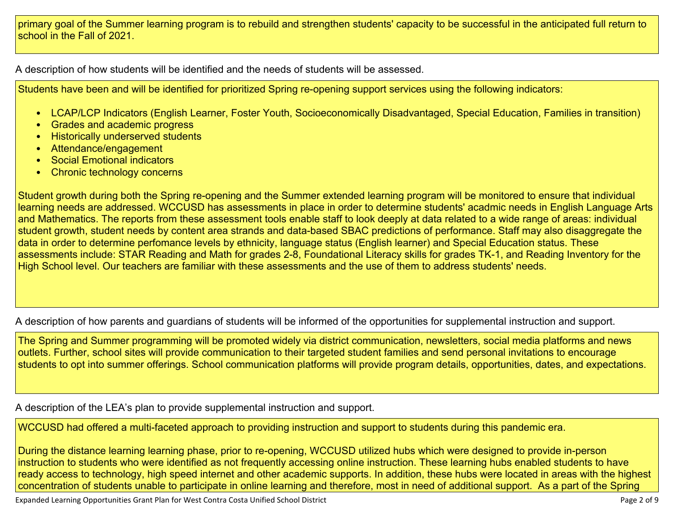primary goal of the Summer learning program is to rebuild and strengthen students' capacity to be successful in the anticipated full return to school in the Fall of 2021.

A [description](#page-7-2) of how students will be identified and the needs of students will be assessed[.](#page-7-2)

Students have been and will be identified for prioritized Spring re-opening support services using the following indicators:

- LCAP/LCP Indicators (English Learner, Foster Youth, Socioeconomically Disadvantaged, Special Education, Families in transition)
- Grades and academic progress
- Historically underserved students
- Attendance/engagement
- Social Emotional indicators
- Chronic technology concerns

Student growth during both the Spring re-opening and the Summer extended learning program will be monitored to ensure that individual learning needs are addressed. WCCUSD has assessments in place in order to determine students' acadmic needs in English Language Arts and Mathematics. The reports from these assessment tools enable staff to look deeply at data related to a wide range of areas: individual student growth, student needs by content area strands and data-based SBAC predictions of performance. Staff may also disaggregate the data in order to determine perfomance levels by ethnicity, language status (English learner) and Special Education status. These assessments include: STAR Reading and Math for grades 2-8, Foundational Literacy skills for grades TK-1, and Reading Inventory for the High School level. Our teachers are familiar with these assessments and the use of them to address students' needs.

A description of how parents and guardians of students will be informed of the opportunities for [supplemental](#page-7-3) instruction and support[.](#page-7-3)

The Spring and Summer programming will be promoted widely via district communication, newsletters, social media platforms and news outlets. Further, school sites will provide communication to their targeted student families and send personal invitations to encourage students to opt into summer offerings. School communication platforms will provide program details, opportunities, dates, and expectations.

A description of the LEA's plan to provide [supplemental](#page-7-4) instruction and support[.](#page-7-4)

WCCUSD had offered a multi-faceted approach to providing instruction and support to students during this pandemic era.

During the distance learning learning phase, prior to re-opening, WCCUSD utilized hubs which were designed to provide in-person instruction to students who were identified as not frequently accessing online instruction. These learning hubs enabled students to have ready access to technology, high speed internet and other academic supports. In addition, these hubs were located in areas with the highest concentration of students unable to participate in online learning and therefore, most in need of additional support. As a part of the Spring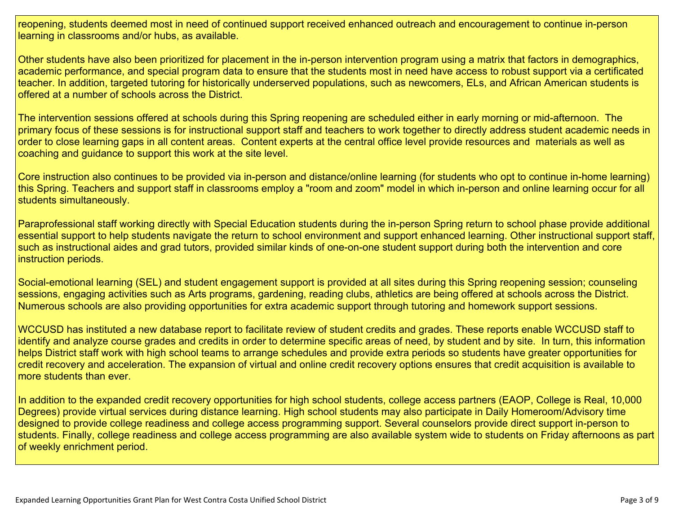reopening, students deemed most in need of continued support received enhanced outreach and encouragement to continue in-person learning in classrooms and/or hubs, as available.

Other students have also been prioritized for placement in the in-person intervention program using a matrix that factors in demographics, academic performance, and special program data to ensure that the students most in need have access to robust support via a certificated teacher. In addition, targeted tutoring for historically underserved populations, such as newcomers, ELs, and African American students is offered at a number of schools across the District.

The intervention sessions offered at schools during this Spring reopening are scheduled either in early morning or mid-afternoon. The primary focus of these sessions is for instructional support staff and teachers to work together to directly address student academic needs in order to close learning gaps in all content areas. Content experts at the central office level provide resources and materials as well as coaching and guidance to support this work at the site level.

Core instruction also continues to be provided via in-person and distance/online learning (for students who opt to continue in-home learning) this Spring. Teachers and support staff in classrooms employ a "room and zoom" model in which in-person and online learning occur for all students simultaneously.

Paraprofessional staff working directly with Special Education students during the in-person Spring return to school phase provide additional essential support to help students navigate the return to school environment and support enhanced learning. Other instructional support staff, such as instructional aides and grad tutors, provided similar kinds of one-on-one student support during both the intervention and core instruction periods.

Social-emotional learning (SEL) and student engagement support is provided at all sites during this Spring reopening session; counseling sessions, engaging activities such as Arts programs, gardening, reading clubs, athletics are being offered at schools across the District. Numerous schools are also providing opportunities for extra academic support through tutoring and homework support sessions.

WCCUSD has instituted a new database report to facilitate review of student credits and grades. These reports enable WCCUSD staff to identify and analyze course grades and credits in order to determine specific areas of need, by student and by site. In turn, this information helps District staff work with high school teams to arrange schedules and provide extra periods so students have greater opportunities for credit recovery and acceleration. The expansion of virtual and online credit recovery options ensures that credit acquisition is available to more students than ever.

In addition to the expanded credit recovery opportunities for high school students, college access partners (EAOP, College is Real, 10,000 Degrees) provide virtual services during distance learning. High school students may also participate in Daily Homeroom/Advisory time designed to provide college readiness and college access programming support. Several counselors provide direct support in-person to students. Finally, college readiness and college access programming are also available system wide to students on Friday afternoons as part of weekly enrichment period.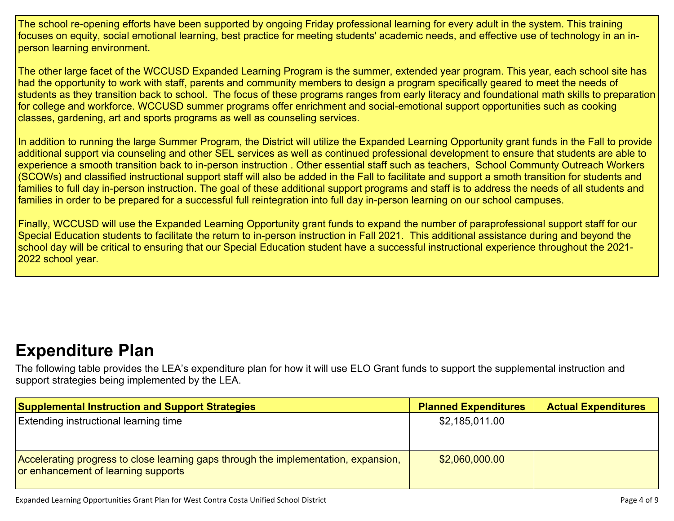The school re-opening efforts have been supported by ongoing Friday professional learning for every adult in the system. This training focuses on equity, social emotional learning, best practice for meeting students' academic needs, and effective use of technology in an inperson learning environment.

The other large facet of the WCCUSD Expanded Learning Program is the summer, extended year program. This year, each school site has had the opportunity to work with staff, parents and community members to design a program specifically geared to meet the needs of students as they transition back to school. The focus of these programs ranges from early literacy and foundational math skills to preparation for college and workforce. WCCUSD summer programs offer enrichment and social-emotional support opportunities such as cooking classes, gardening, art and sports programs as well as counseling services.

In addition to running the large Summer Program, the District will utilize the Expanded Learning Opportunity grant funds in the Fall to provide additional support via counseling and other SEL services as well as continued professional development to ensure that students are able to experience a smooth transition back to in-person instruction . Other essential staff such as teachers, School Communty Outreach Workers (SCOWs) and classified instructional support staff will also be added in the Fall to facilitate and support a smoth transition for students and families to full day in-person instruction. The goal of these additional support programs and staff is to address the needs of all students and families in order to be prepared for a successful full reintegration into full day in-person learning on our school campuses.

Finally, WCCUSD will use the Expanded Learning Opportunity grant funds to expand the number of paraprofessional support staff for our Special Education students to facilitate the return to in-person instruction in Fall 2021. This additional assistance during and beyond the school day will be critical to ensuring that our Special Education student have a successful instructional experience throughout the 2021- 2022 school year.

## **[Expenditure](#page-8-0) Pla[n](#page-8-0)**

The following table provides the LEA's expenditure plan for how it will use ELO Grant funds to support the supplemental instruction and support strategies being implemented by the LEA.

| <b>Supplemental Instruction and Support Strategies</b>                                                                     | <b>Planned Expenditures</b> | <b>Actual Expenditures</b> |
|----------------------------------------------------------------------------------------------------------------------------|-----------------------------|----------------------------|
| <b>Extending instructional learning time</b>                                                                               | \$2,185,011.00              |                            |
| Accelerating progress to close learning gaps through the implementation, expansion,<br>or enhancement of learning supports | \$2,060,000.00              |                            |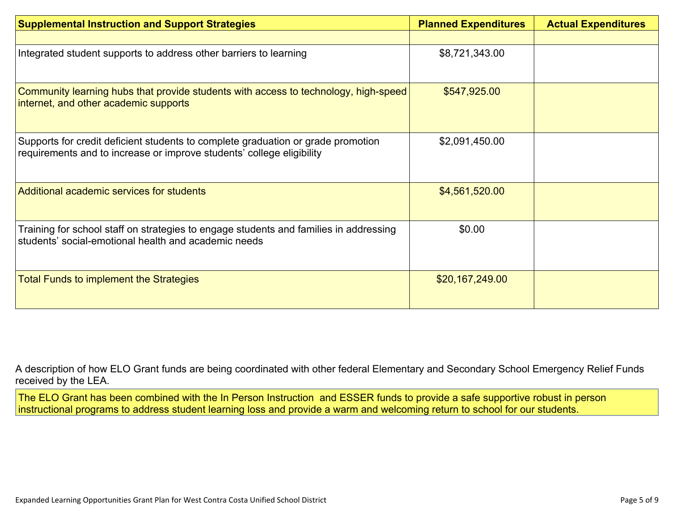| <b>Supplemental Instruction and Support Strategies</b>                                                                                                    | <b>Planned Expenditures</b> | <b>Actual Expenditures</b> |
|-----------------------------------------------------------------------------------------------------------------------------------------------------------|-----------------------------|----------------------------|
|                                                                                                                                                           |                             |                            |
| Integrated student supports to address other barriers to learning                                                                                         | \$8,721,343.00              |                            |
| Community learning hubs that provide students with access to technology, high-speed<br>internet, and other academic supports                              | \$547,925.00                |                            |
| Supports for credit deficient students to complete graduation or grade promotion<br>requirements and to increase or improve students' college eligibility | \$2,091,450.00              |                            |
| Additional academic services for students                                                                                                                 | \$4,561,520.00              |                            |
| Training for school staff on strategies to engage students and families in addressing<br>students' social-emotional health and academic needs             | \$0.00                      |                            |
| <b>Total Funds to implement the Strategies</b>                                                                                                            | \$20,167,249.00             |                            |

A description of how [E](#page-8-1)LO Grant funds are being [coordinated](#page-8-1) with other federal Elementary and Secondary School Emergency Relief Funds [received](#page-8-1) by the LEA.

The ELO Grant has been combined with the In Person Instruction and ESSER funds to provide a safe supportive robust in person instructional programs to address student learning loss and provide a warm and welcoming return to school for our students.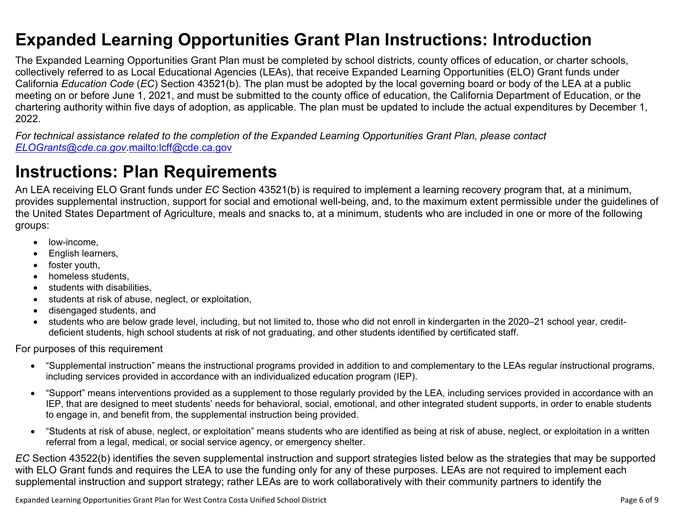### <span id="page-5-0"></span>**Expanded Learning Opportunities Grant Plan Instructions: Introduction**

The Expanded Learning Opportunities Grant Plan must be completed by school districts, county offices of education, or charter schools, collectively referred to as Local Educational Agencies (LEAs), that receive Expanded Learning Opportunities (ELO) Grant funds under California *Education Code* (*EC*) Section 43521(b). The plan must be adopted by the local governing board or body of the LEA at a public meeting on or before June 1, 2021, and must be submitted to the county office of education, the California Department of Education, or the chartering authority within five days of adoption, as applicable. The plan must be updated to include the actual expenditures by December 1, 2022.

For technical assistance related to the completion of the Expanded Learning Opportunities Grant Plan, please contact *[ELOGrants@cde.ca.gov](mailto:ELOGrants@cde.ca.gov).*<mailto:lcff@cde.ca.gov>

### **Instructions: Plan Requirements**

An LEA receiving ELO Grant funds under *EC* Section 43521(b) is required to implement a learning recovery program that, at a minimum, provides supplemental instruction, support for social and emotional well-being, and, to the maximum extent permissible under the guidelines of the United States Department of Agriculture, meals and snacks to, at a minimum, students who are included in one or more of the following groups:

- low-income.
- English learners,
- foster youth,
- homeless students,
- students with disabilities.
- students at risk of abuse, neglect, or exploitation,
- disengaged students, and
- students who are below grade level, including, but not limited to, those who did not enroll in kindergarten in the 2020–21 school year, creditdeficient students, high school students at risk of not graduating, and other students identified by certificated staff.

For purposes of this requirement

- "Supplemental instruction" means the instructional programs provided in addition to and complementary to the LEAs regular instructional programs, including services provided in accordance with an individualized education program (IEP).
- "Support" means interventions provided as a supplement to those regularly provided by the LEA, including services provided in accordance with an IEP, that are designed to meet students' needs for behavioral, social, emotional, and other integrated student supports, in order to enable students to engage in, and benefit from, the supplemental instruction being provided.
- "Students at risk of abuse, neglect, or exploitation" means students who are identified as being at risk of abuse, neglect, or exploitation in a written referral from a legal, medical, or social service agency, or emergency shelter.

*EC* Section 43522(b) identifies the seven supplemental instruction and support strategies listed below as the strategies that may be supported with ELO Grant funds and requires the LEA to use the funding only for any of these purposes. LEAs are not required to implement each supplemental instruction and support strategy; rather LEAs are to work collaboratively with their community partners to identify the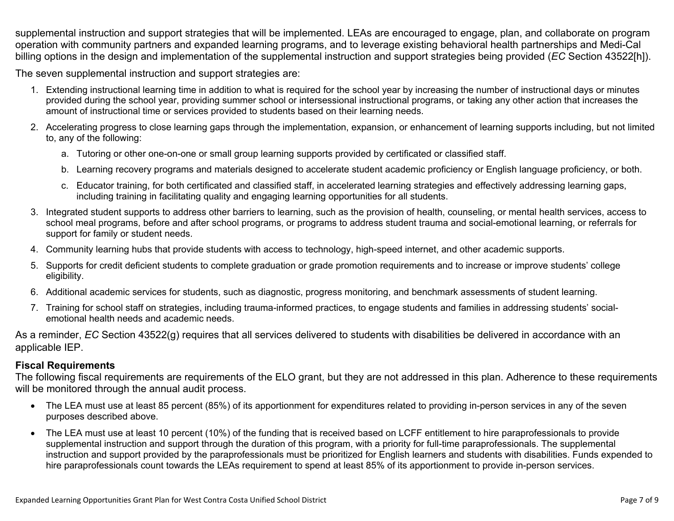supplemental instruction and support strategies that will be implemented. LEAs are encouraged to engage, plan, and collaborate on program operation with community partners and expanded learning programs, and to leverage existing behavioral health partnerships and Medi-Cal billing options in the design and implementation of the supplemental instruction and support strategies being provided (*EC* Section 43522[h]).

The seven supplemental instruction and support strategies are:

- 1. Extending instructional learning time in addition to what is required for the school year by increasing the number of instructional days or minutes provided during the school year, providing summer school or intersessional instructional programs, or taking any other action that increases the amount of instructional time or services provided to students based on their learning needs.
- 2. Accelerating progress to close learning gaps through the implementation, expansion, or enhancement of learning supports including, but not limited to, any of the following:
	- a. Tutoring or other one-on-one or small group learning supports provided by certificated or classified staff.
	- b. Learning recovery programs and materials designed to accelerate student academic proficiency or English language proficiency, or both.
	- c. Educator training, for both certificated and classified staff, in accelerated learning strategies and effectively addressing learning gaps, including training in facilitating quality and engaging learning opportunities for all students.
- 3. Integrated student supports to address other barriers to learning, such as the provision of health, counseling, or mental health services, access to school meal programs, before and after school programs, or programs to address student trauma and social-emotional learning, or referrals for support for family or student needs.
- 4. Community learning hubs that provide students with access to technology, high-speed internet, and other academic supports.
- 5. Supports for credit deficient students to complete graduation or grade promotion requirements and to increase or improve students' college eligibility.
- 6. Additional academic services for students, such as diagnostic, progress monitoring, and benchmark assessments of student learning.
- 7. Training for school staff on strategies, including trauma-informed practices, to engage students and families in addressing students' socialemotional health needs and academic needs.

As a reminder, *EC* Section 43522(g) requires that all services delivered to students with disabilities be delivered in accordance with an applicable IEP.

### **Fiscal Requirements**

The following fiscal requirements are requirements of the ELO grant, but they are not addressed in this plan. Adherence to these requirements will be monitored through the annual audit process.

- The LEA must use at least 85 percent (85%) of its apportionment for expenditures related to providing in-person services in any of the seven purposes described above.
- The LEA must use at least 10 percent (10%) of the funding that is received based on LCFF entitlement to hire paraprofessionals to provide supplemental instruction and support through the duration of this program, with a priority for full-time paraprofessionals. The supplemental instruction and support provided by the paraprofessionals must be prioritized for English learners and students with disabilities. Funds expended to hire paraprofessionals count towards the LEAs requirement to spend at least 85% of its apportionment to provide in-person services.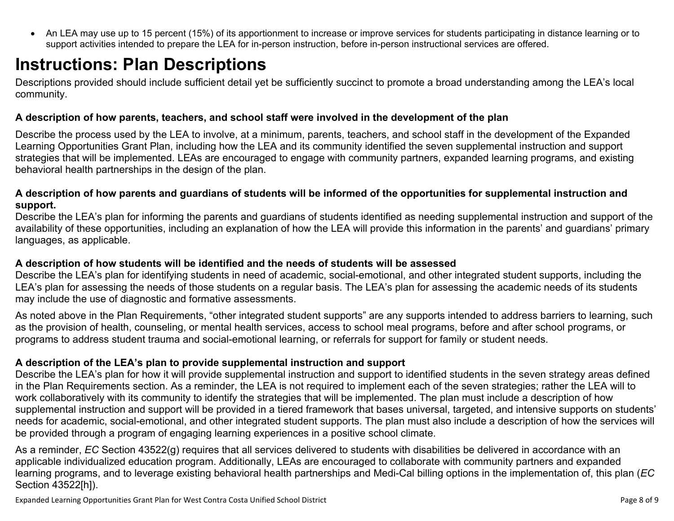<span id="page-7-0"></span> An LEA may use up to 15 percent (15%) of its apportionment to increase or improve services for students participating in distance learning or to support activities intended to prepare the LEA for in-person instruction, before in-person instructional services are offered.

## **Instructions: Plan Descriptions**

Descriptions provided should include sufficient detail yet be sufficiently succinct to promote a broad understanding among the LEA's local community.

#### <span id="page-7-1"></span>**A description of how parents, teachers, and school staff were involved in the development of the plan**

Describe the process used by the LEA to involve, at a minimum, parents, teachers, and school staff in the development of the Expanded Learning Opportunities Grant Plan, including how the LEA and its community identified the seven supplemental instruction and support strategies that will be implemented. LEAs are encouraged to engage with community partners, expanded learning programs, and existing behavioral health partnerships in the design of the plan.

#### <span id="page-7-2"></span>A description of how parents and guardians of students will be informed of the opportunities for supplemental instruction and **support.**

Describe the LEA's plan for informing the parents and guardians of students identified as needing supplemental instruction and support of the availability of these opportunities, including an explanation of how the LEA will provide this information in the parents' and guardians' primary languages, as applicable.

#### <span id="page-7-3"></span>**A description of how students will be identified and the needs of students will be assessed**

Describe the LEA's plan for identifying students in need of academic, social-emotional, and other integrated student supports, including the LEA's plan for assessing the needs of those students on a regular basis. The LEA's plan for assessing the academic needs of its students may include the use of diagnostic and formative assessments.

As noted above in the Plan Requirements, "other integrated student supports" are any supports intended to address barriers to learning, such as the provision of health, counseling, or mental health services, access to school meal programs, before and after school programs, or programs to address student trauma and social-emotional learning, or referrals for support for family or student needs.

#### <span id="page-7-4"></span>**A description of the LEA's plan to provide supplemental instruction and support**

Describe the LEA's plan for how it will provide supplemental instruction and support to identified students in the seven strategy areas defined in the Plan Requirements section. As a reminder, the LEA is not required to implement each of the seven strategies; rather the LEA will to work collaboratively with its community to identify the strategies that will be implemented. The plan must include a description of how supplemental instruction and support will be provided in a tiered framework that bases universal, targeted, and intensive supports on students' needs for academic, social-emotional, and other integrated student supports. The plan must also include a description of how the services will be provided through a program of engaging learning experiences in a positive school climate.

As a reminder, *EC* Section 43522(g) requires that all services delivered to students with disabilities be delivered in accordance with an applicable individualized education program. Additionally, LEAs are encouraged to collaborate with community partners and expanded learning programs, and to leverage existing behavioral health partnerships and Medi-Cal billing options in the implementation of, this plan (*EC* Section 43522[h]).